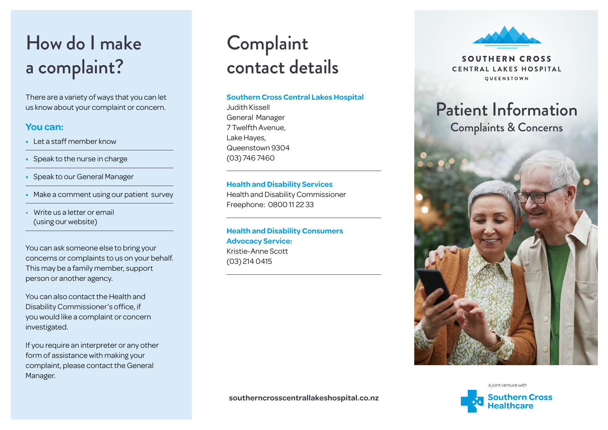# How do I make a complaint?

There are a variety of ways that you can let us know about your complaint or concern.

### **You can:**

- **•** Let a staff member know
- **•** Speak to the nurse in charge
- **•** Speak to our General Manager
- **•** Make a comment using our patient survey
- Write us a letter or email (using our website)

You can ask someone else to bring your concerns or complaints to us on your behalf. This may be a family member, support person or another agency.

You can also contact the Health and Disability Commissioner's office, if you would like a complaint or concern investigated.

If you require an interpreter or any other form of assistance with making your complaint, please contact the General Manager.

## Complaint contact details

#### **Southern Cross Central Lakes Hospital**

Judith Kissell General Manager 7 Twelfth Avenue, Lake Hayes, Queenstown 9304 (03) 746 7460

**Health and Disability Services** Health and Disability Commissioner Freephone: 0800 11 22 33

**Health and Disability Consumers Advocacy Service:** Kristie-Anne Scott (03) 214 0415



SOUTHERN CROSS CENTRAL LAKES HOSPITAL QUEENSTOWN

## Patient Information Complaints & Concerns



a joint venture with **Southern Cross** 

**southerncrosscentrallakeshospital.co.nz**